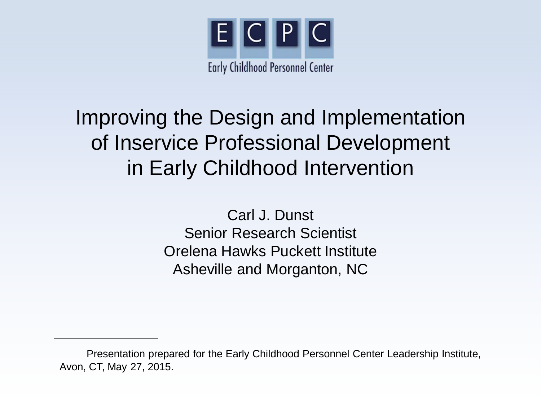

## Improving the Design and Implementation of Inservice Professional Development in Early Childhood Intervention

Carl J. Dunst Senior Research Scientist Orelena Hawks Puckett Institute Asheville and Morganton, NC

Presentation prepared for the Early Childhood Personnel Center Leadership Institute, Avon, CT, May 27, 2015.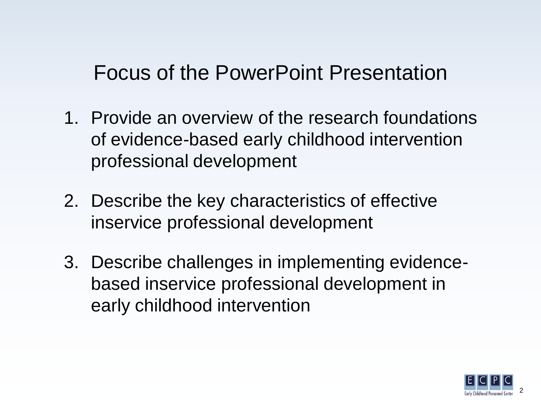#### Focus of the PowerPoint Presentation

- 1. Provide an overview of the research foundations of evidence-based early childhood intervention professional development
- 2. Describe the key characteristics of effective inservice professional development
- 3. Describe challenges in implementing evidencebased inservice professional development in early childhood intervention

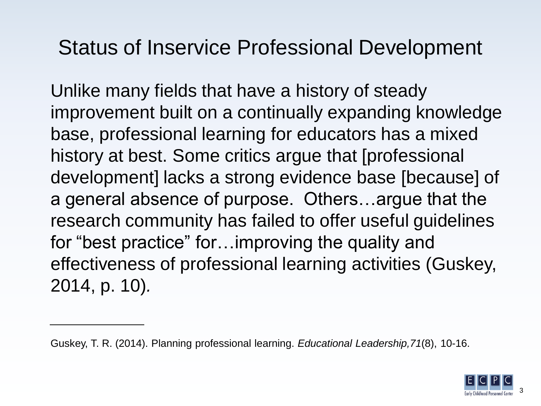### Status of Inservice Professional Development

Unlike many fields that have a history of steady improvement built on a continually expanding knowledge base, professional learning for educators has a mixed history at best. Some critics argue that [professional development] lacks a strong evidence base [because] of a general absence of purpose. Others…argue that the research community has failed to offer useful guidelines for "best practice" for…improving the quality and effectiveness of professional learning activities (Guskey, 2014, p. 10)*.*



Guskey, T. R. (2014). Planning professional learning. *Educational Leadership,71*(8), 10-16.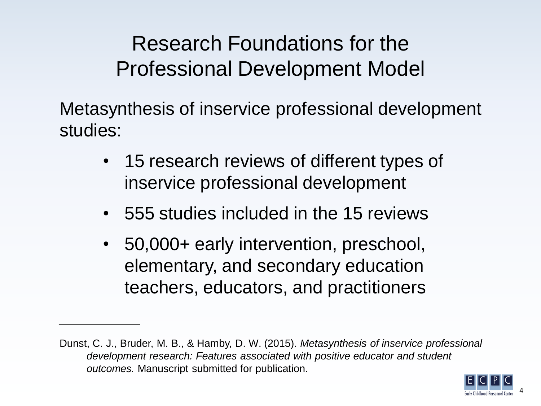Research Foundations for the Professional Development Model

Metasynthesis of inservice professional development studies:

- 15 research reviews of different types of inservice professional development
- 555 studies included in the 15 reviews
- 50,000+ early intervention, preschool, elementary, and secondary education teachers, educators, and practitioners

Dunst, C. J., Bruder, M. B., & Hamby, D. W. (2015). *Metasynthesis of inservice professional development research: Features associated with positive educator and student outcomes.* Manuscript submitted for publication.

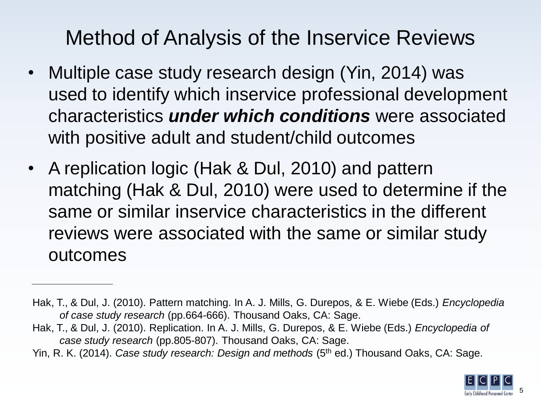## Method of Analysis of the Inservice Reviews

- Multiple case study research design (Yin, 2014) was used to identify which inservice professional development characteristics *under which conditions* were associated with positive adult and student/child outcomes
- A replication logic (Hak & Dul, 2010) and pattern matching (Hak & Dul, 2010) were used to determine if the same or similar inservice characteristics in the different reviews were associated with the same or similar study outcomes

Hak, T., & Dul, J. (2010). Replication. In A. J. Mills, G. Durepos, & E. Wiebe (Eds.) *Encyclopedia of case study research* (pp.805-807). Thousand Oaks, CA: Sage.

Yin, R. K. (2014). *Case study research: Design and methods* (5<sup>th</sup> ed.) Thousand Oaks, CA: Sage.



Hak, T., & Dul, J. (2010). Pattern matching. In A. J. Mills, G. Durepos, & E. Wiebe (Eds.) *Encyclopedia of case study research* (pp.664-666). Thousand Oaks, CA: Sage.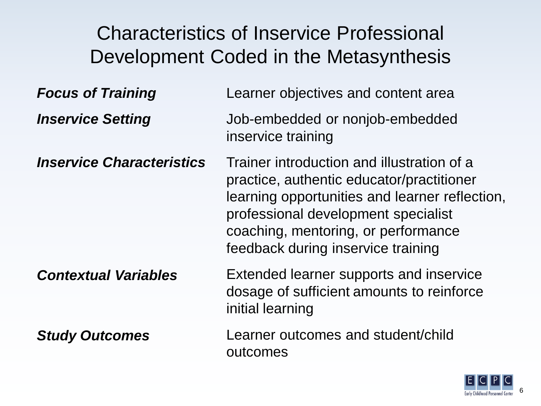#### Characteristics of Inservice Professional Development Coded in the Metasynthesis *Focus of Training Inservice Setting Inservice Characteristics Contextual Variables Study Outcomes* Learner objectives and content area Job-embedded or nonjob-embedded inservice training Trainer introduction and illustration of a practice, authentic educator/practitioner learning opportunities and learner reflection, professional development specialist coaching, mentoring, or performance feedback during inservice training Extended learner supports and inservice dosage of sufficient amounts to reinforce initial learning Learner outcomes and student/child outcomes

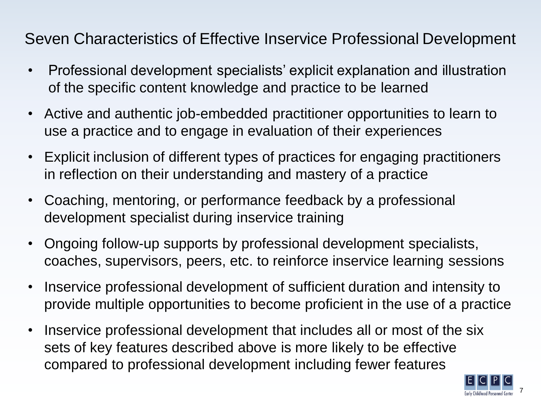Seven Characteristics of Effective Inservice Professional Development

- Professional development specialists' explicit explanation and illustration of the specific content knowledge and practice to be learned
- Active and authentic job-embedded practitioner opportunities to learn to use a practice and to engage in evaluation of their experiences
- Explicit inclusion of different types of practices for engaging practitioners in reflection on their understanding and mastery of a practice
- Coaching, mentoring, or performance feedback by a professional development specialist during inservice training
- Ongoing follow-up supports by professional development specialists, coaches, supervisors, peers, etc. to reinforce inservice learning sessions
- Inservice professional development of sufficient duration and intensity to provide multiple opportunities to become proficient in the use of a practice
- Inservice professional development that includes all or most of the six sets of key features described above is more likely to be effective compared to professional development including fewer features

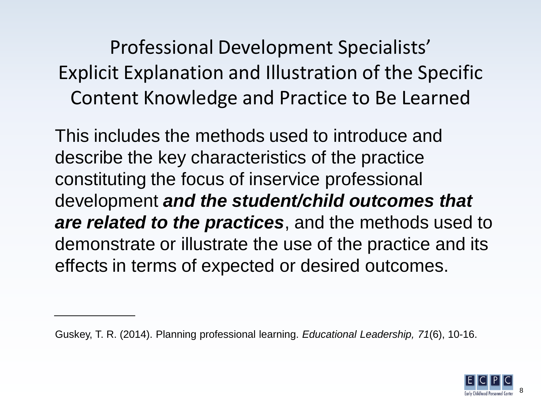Professional Development Specialists' Explicit Explanation and Illustration of the Specific Content Knowledge and Practice to Be Learned

This includes the methods used to introduce and describe the key characteristics of the practice constituting the focus of inservice professional development *and the student/child outcomes that are related to the practices*, and the methods used to demonstrate or illustrate the use of the practice and its effects in terms of expected or desired outcomes.



Guskey, T. R. (2014). Planning professional learning. *Educational Leadership, 71*(6), 10-16.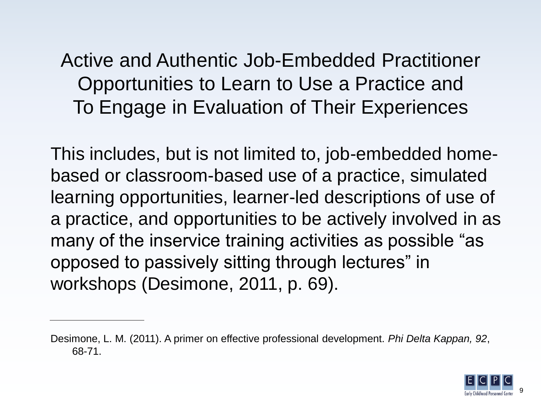Active and Authentic Job-Embedded Practitioner Opportunities to Learn to Use a Practice and To Engage in Evaluation of Their Experiences

This includes, but is not limited to, job-embedded homebased or classroom-based use of a practice, simulated learning opportunities, learner-led descriptions of use of a practice, and opportunities to be actively involved in as many of the inservice training activities as possible "as opposed to passively sitting through lectures" in workshops (Desimone, 2011, p. 69).

Desimone, L. M. (2011). A primer on effective professional development. *Phi Delta Kappan, 92*, 68-71.

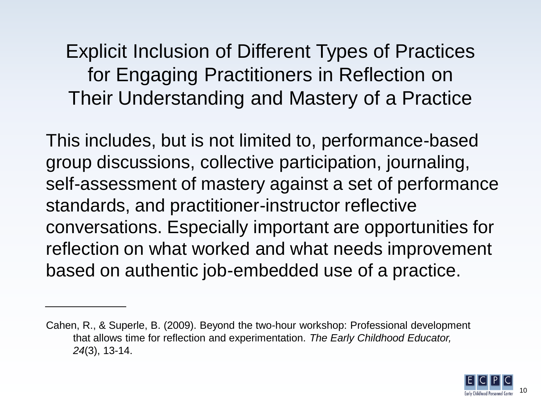Explicit Inclusion of Different Types of Practices for Engaging Practitioners in Reflection on Their Understanding and Mastery of a Practice

This includes, but is not limited to, performance-based group discussions, collective participation, journaling, self-assessment of mastery against a set of performance standards, and practitioner-instructor reflective conversations. Especially important are opportunities for reflection on what worked and what needs improvement based on authentic job-embedded use of a practice.

Cahen, R., & Superle, B. (2009). Beyond the two-hour workshop: Professional development that allows time for reflection and experimentation. *The Early Childhood Educator, 24*(3), 13-14.

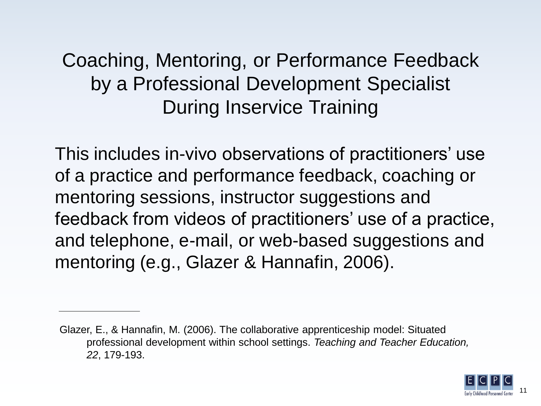#### Coaching, Mentoring, or Performance Feedback by a Professional Development Specialist During Inservice Training

This includes in-vivo observations of practitioners' use of a practice and performance feedback, coaching or mentoring sessions, instructor suggestions and feedback from videos of practitioners' use of a practice, and telephone, e-mail, or web-based suggestions and mentoring (e.g., Glazer & Hannafin, 2006).

Glazer, E., & Hannafin, M. (2006). The collaborative apprenticeship model: Situated professional development within school settings. *Teaching and Teacher Education, 22*, 179-193.

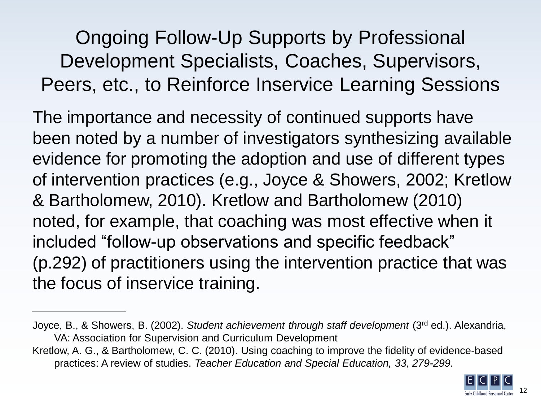Ongoing Follow-Up Supports by Professional Development Specialists, Coaches, Supervisors, Peers, etc., to Reinforce Inservice Learning Sessions

The importance and necessity of continued supports have been noted by a number of investigators synthesizing available evidence for promoting the adoption and use of different types of intervention practices (e.g., Joyce & Showers, 2002; Kretlow & Bartholomew, 2010). Kretlow and Bartholomew (2010) noted, for example, that coaching was most effective when it included "follow-up observations and specific feedback" (p.292) of practitioners using the intervention practice that was the focus of inservice training.

Kretlow, A. G., & Bartholomew, C. C. (2010). Using coaching to improve the fidelity of evidence-based practices: A review of studies. *Teacher Education and Special Education, 33, 279-299.*



Joyce, B., & Showers, B. (2002). *Student achievement through staff development* (3rd ed.). Alexandria, VA: Association for Supervision and Curriculum Development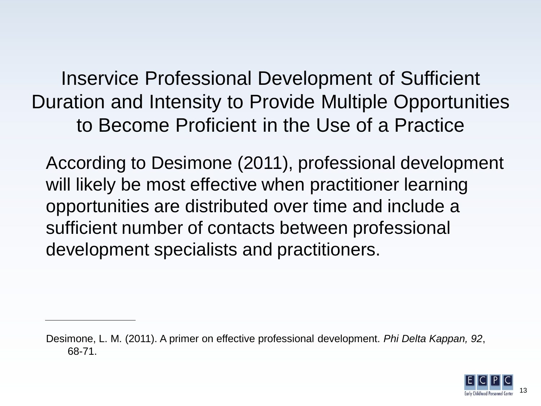Inservice Professional Development of Sufficient Duration and Intensity to Provide Multiple Opportunities to Become Proficient in the Use of a Practice

According to Desimone (2011), professional development will likely be most effective when practitioner learning opportunities are distributed over time and include a sufficient number of contacts between professional development specialists and practitioners.

Desimone, L. M. (2011). A primer on effective professional development. *Phi Delta Kappan, 92*, 68-71.

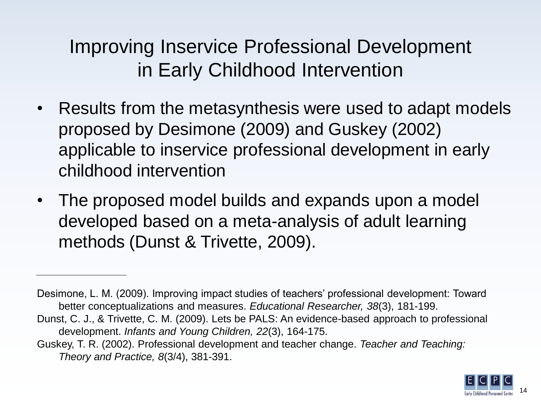Improving Inservice Professional Development in Early Childhood Intervention

- Results from the metasynthesis were used to adapt models proposed by Desimone (2009) and Guskey (2002) applicable to inservice professional development in early childhood intervention
- The proposed model builds and expands upon a model developed based on a meta-analysis of adult learning methods (Dunst & Trivette, 2009).

Dunst, C. J., & Trivette, C. M. (2009). Lets be PALS: An evidence-based approach to professional development. *Infants and Young Children, 22*(3), 164-175.

Guskey, T. R. (2002). Professional development and teacher change. *Teacher and Teaching: Theory and Practice, 8*(3/4), 381-391.



Desimone, L. M. (2009). Improving impact studies of teachers' professional development: Toward better conceptualizations and measures. *Educational Researcher, 38*(3), 181-199.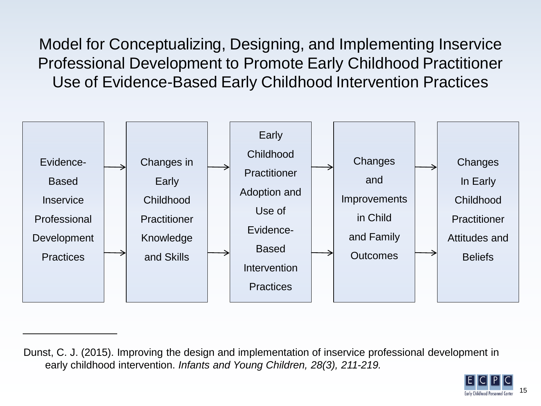Model for Conceptualizing, Designing, and Implementing Inservice Professional Development to Promote Early Childhood Practitioner Use of Evidence-Based Early Childhood Intervention Practices



Dunst, C. J. (2015). Improving the design and implementation of inservice professional development in early childhood intervention. *Infants and Young Children, 28(3), 211-219.*

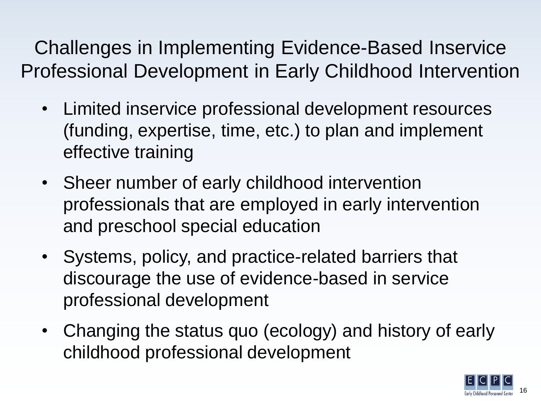Challenges in Implementing Evidence-Based Inservice Professional Development in Early Childhood Intervention

- Limited inservice professional development resources (funding, expertise, time, etc.) to plan and implement effective training
- Sheer number of early childhood intervention professionals that are employed in early intervention and preschool special education
- Systems, policy, and practice-related barriers that discourage the use of evidence-based in service professional development
- Changing the status quo (ecology) and history of early childhood professional development